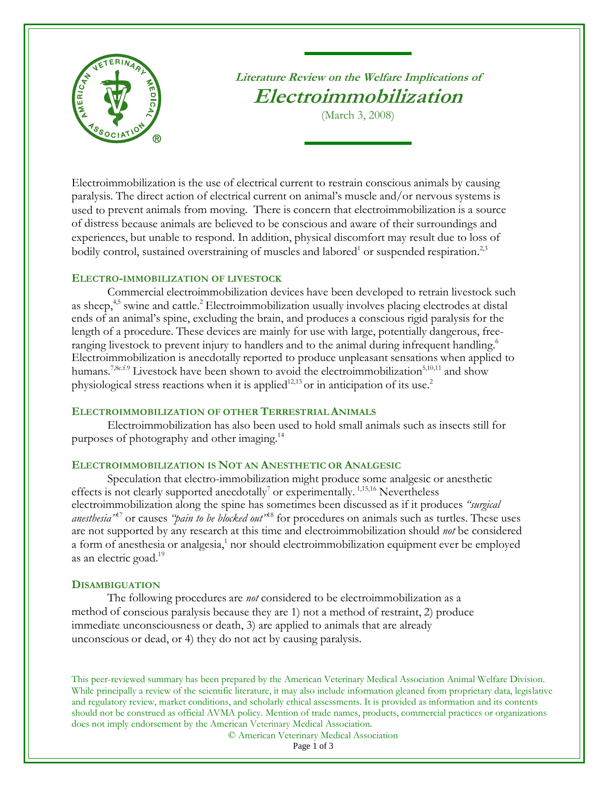

# **Literature Review on the Welfare Implications of Electroimmobilization**

(March 3, 2008)

Electroimmobilization is the use of electrical current to restrain conscious animals by causing paralysis. The direct action of electrical current on animal's muscle and/or nervous systems is used to prevent animals from moving. There is concern that electroimmobilization is a source of distress because animals are believed to be conscious and aware of their surroundings and experiences, but unable to respond. In addition, physical discomfort may result due to loss of bodily control, sustained overstraining of muscles and labored<sup>1</sup> or suspended respiration.<sup>2,3</sup>

## **ELECTRO-IMMOBILIZATION OF LIVESTOCK**

Commercial electroimmobilization devices have been developed to retrain livestock such as sheep,<sup>4,5</sup> swine and cattle.<sup>2</sup> Electroimmobilization usually involves placing electrodes at distal ends of an animal's spine, excluding the brain, and produces a conscious rigid paralysis for the length of a procedure. These devices are mainly for use with large, potentially dangerous, freeranging livestock to prevent injury to handlers and to the animal during infrequent handling.<sup>6</sup> Electroimmobilization is anecdotally reported to produce unpleasant sensations when applied to humans.<sup>7,8c.f.9</sup> Livestock have been shown to avoid the electroimmobilization<sup>5,10,11</sup> and show physiological stress reactions when it is applied<sup>12,13</sup> or in anticipation of its use.<sup>2</sup>

### **ELECTROIMMOBILIZATION OF OTHER TERRESTRIALANIMALS**

Electroimmobilization has also been used to hold small animals such as insects still for purposes of photography and other imaging. 14

# **ELECTROIMMOBILIZATION IS NOT AN ANESTHETIC OR ANALGESIC**

Speculation that electro-immobilization might produce some analgesic or anesthetic effects is not clearly supported anecdotally<sup>7</sup> or experimentally.<sup>1,15,16</sup> Nevertheless electroimmobilization along the spine has sometimes been discussed as if it produces *"surgical anesthesia"* <sup>17</sup> or causes *"pain to be blocked out"* <sup>18</sup> for procedures on animals such as turtles. These uses are not supported by any research at this time and electroimmobilization should *not* be considered a form of anesthesia or analgesia,<sup>1</sup> nor should electroimmobilization equipment ever be employed as an electric goad.<sup>19</sup>

# **DISAMBIGUATION**

The following procedures are *not* considered to be electroimmobilization as a method of conscious paralysis because they are 1) not a method of restraint, 2) produce immediate unconsciousness or death, 3) are applied to animals that are already unconscious or dead, or 4) they do not act by causing paralysis.

This peer-reviewed summary has been prepared by the American Veterinary Medical Association Animal Welfare Division. While principally a review of the scientific literature, it may also include information gleaned from proprietary data, legislative and regulatory review, market conditions, and scholarly ethical assessments. It is provided as information and its contents should not be construed as official AVMA policy. Mention of trade names, products, commercial practices or organizations does not imply endorsement by the American Veterinary Medical Association.

© American Veterinary Medical Association

Page 1 of 3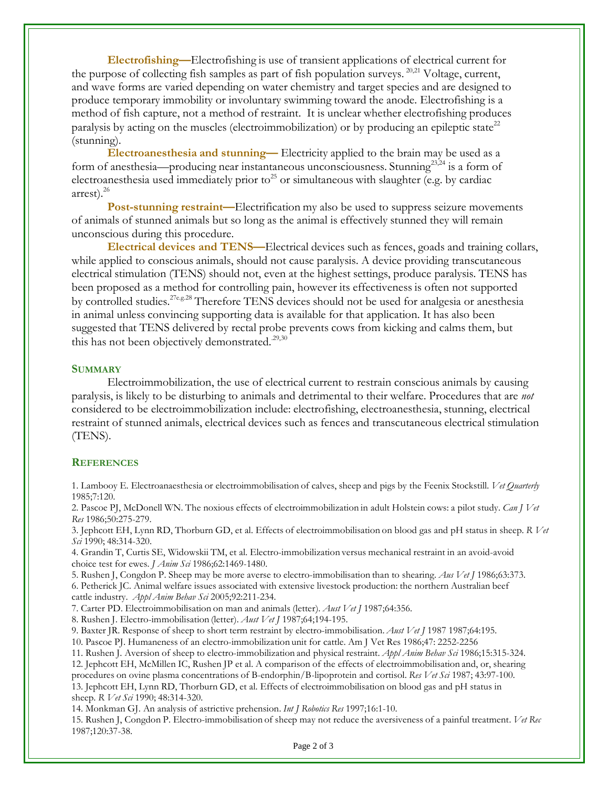**Electrofishing—**Electrofishing is use of transient applications of electrical current for the purpose of collecting fish samples as part of fish population surveys.<sup>20,21</sup> Voltage, current, and wave forms are varied depending on water chemistry and target species and are designed to produce temporary immobility or involuntary swimming toward the anode. Electrofishing is a method of fish capture, not a method of restraint. It is unclear whether electrofishing produces paralysis by acting on the muscles (electroimmobilization) or by producing an epileptic state<sup>22</sup> (stunning).

**Electroanesthesia and stunning—** Electricity applied to the brain may be used as a form of anesthesia—producing near instantaneous unconsciousness. Stunning<sup>23,24</sup> is a form of electroanesthesia used immediately prior to<sup>25</sup> or simultaneous with slaughter (e.g. by cardiac arrest). $^{26}$ 

**Post-stunning restraint—Electrification my also be used to suppress seizure movements** of animals of stunned animals but so long as the animal is effectively stunned they will remain unconscious during this procedure.

**Electrical devices and TENS—**Electrical devices such as fences, goads and training collars, while applied to conscious animals, should not cause paralysis. A device providing transcutaneous electrical stimulation (TENS) should not, even at the highest settings, produce paralysis. TENS has been proposed as a method for controlling pain, however its effectiveness is often not supported by controlled studies.<sup>27e.g.28</sup> Therefore TENS devices should not be used for analgesia or anesthesia in animal unless convincing supporting data is available for that application. It has also been suggested that TENS delivered by rectal probe prevents cows from kicking and calms them, but this has not been objectively demonstrated. $29,30$ 

#### **SUMMARY**

Electroimmobilization, the use of electrical current to restrain conscious animals by causing paralysis, is likely to be disturbing to animals and detrimental to their welfare. Procedures that are *not* considered to be electroimmobilization include: electrofishing, electroanesthesia, stunning, electrical restraint of stunned animals, electrical devices such as fences and transcutaneous electrical stimulation (TENS).

### **REFERENCES**

1. Lambooy E. Electroanaesthesia or electroimmobilisation of calves, sheep and pigs by the Feenix Stockstill. *Vet Quarterly* 1985;7:120.

2. Pascoe PJ, McDonell WN. The noxious effects of electroimmobilization in adult Holstein cows: a pilot study. *Can J Vet Res* 1986;50:275-279.

3. Jephcott EH, Lynn RD, Thorburn GD, et al. Effects of electroimmobilisation on blood gas and pH status in sheep. *R Vet Sci* 1990; 48:314-320.

4. Grandin T, Curtis SE, Widowskii TM, et al. Electro-immobilization versus mechanical restraint in an avoid-avoid choice test for ewes. *J Anim Sci* 1986;62:1469-1480.

5. Rushen J, Congdon P. Sheep may be more averse to electro-immobilisation than to shearing. *Aus Vet J* 1986;63:373. 6. Petherick JC. Animal welfare issues associated with extensive livestock production: the northern Australian beef cattle industry. *Appl Anim Behav Sci* 2005;92:211-234.

7. Carter PD. Electroimmobilisation on man and animals (letter). *Aust Vet J* 1987;64:356.

8. Rushen J. Electro-immobilisation (letter). *Aust Vet J* 1987;64;194-195.

9. Baxter JR. Response of sheep to short term restraint by electro-immobilisation. *Aust Vet J* 1987 1987;64:195.

10. Pascoe PJ. Humaneness of an electro-immobilization unit for cattle. Am J Vet Res 1986;47: 2252-2256

11. Rushen J. Aversion of sheep to electro-immobilization and physical restraint. *Appl Anim Behav Sci* 1986;15:315-324. 12. Jephcott EH, McMillen IC, Rushen JP et al. A comparison of the effects of electroimmobilisation and, or, shearing procedures on ovine plasma concentrations of B-endorphin/B-lipoprotein and cortisol. *Res Vet Sci* 1987; 43:97-100. 13. Jephcott EH, Lynn RD, Thorburn GD, et al. Effects of electroimmobilisation on blood gas and pH status in sheep. *R Vet Sci* 1990; 48:314-320.

14. Monkman GJ. An analysis of astrictive prehension. *Int J Robotics Res* 1997;16:1-10.

15. Rushen J, Congdon P. Electro-immobilisation of sheep may not reduce the aversiveness of a painful treatment. *Vet Rec* 1987;120:37-38.

Page 2 of 3